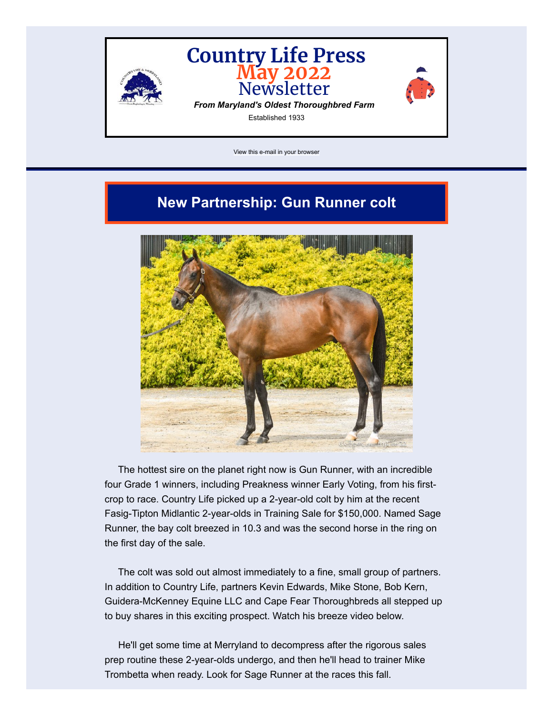

[View this e-mail in your browser](https://mailchi.mp/countrylifefarm/may-2022-newsletter-from-country-life-farm?e=8dabec483c)

# **New Partnership: Gun Runner colt**



The hottest sire on the planet right now is Gun Runner, with an incredible four Grade 1 winners, including Preakness winner Early Voting, from his firstcrop to race. Country Life picked up a 2-year-old colt by him at the recent Fasig-Tipton Midlantic 2-year-olds in Training Sale for \$150,000. Named Sage Runner, the bay colt breezed in 10.3 and was the second horse in the ring on the first day of the sale.

The colt was sold out almost immediately to a fine, small group of partners. In addition to Country Life, partners Kevin Edwards, Mike Stone, Bob Kern, Guidera-McKenney Equine LLC and Cape Fear Thoroughbreds all stepped up to buy shares in this exciting prospect. Watch his breeze video below.

He'll get some time at Merryland to decompress after the rigorous sales prep routine these 2-year-olds undergo, and then he'll head to trainer Mike Trombetta when ready. Look for Sage Runner at the races this fall.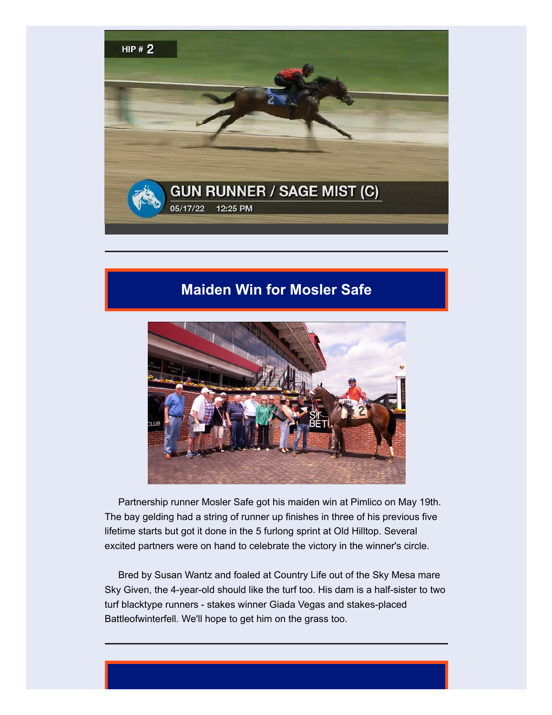

# **Maiden Win for Mosler Safe**



Partnership runner Mosler Safe got his maiden win at Pimlico on May 19th. The bay gelding had a string of runner up finishes in three of his previous five lifetime starts but got it done in the 5 furlong sprint at Old Hilltop. Several excited partners were on hand to celebrate the victory in the winner's circle.

Bred by Susan Wantz and foaled at Country Life out of the Sky Mesa mare Sky Given, the 4-year-old should like the turf too. His dam is a half-sister to two turf blacktype runners - stakes winner Giada Vegas and stakes-placed Battleofwinterfell. We'll hope to get him on the grass too.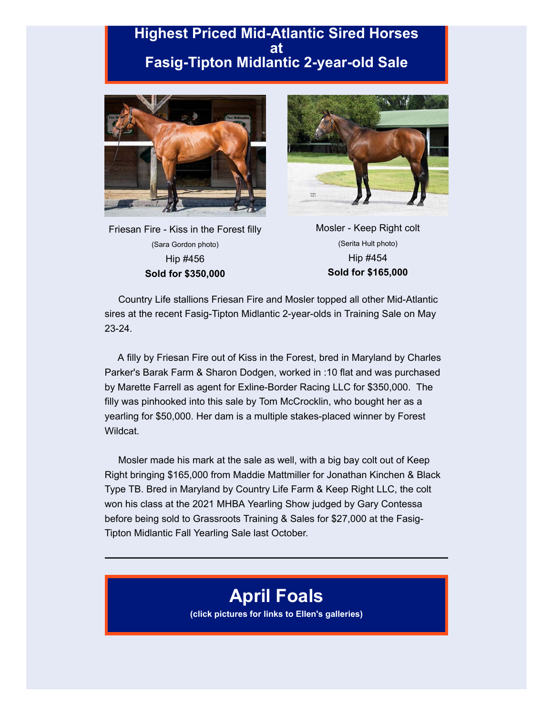## **Highest Priced Mid-Atlantic Sired Horses at Fasig-Tipton Midlantic 2-year-old Sale**



Friesan Fire - Kiss in the Forest filly (Sara Gordon photo) Hip #456 **Sold for \$350,000**



Mosler - Keep Right colt (Serita Hult photo) Hip #454 **Sold for \$165,000**

Country Life stallions Friesan Fire and Mosler topped all other Mid-Atlantic sires at the recent Fasig-Tipton Midlantic 2-year-olds in Training Sale on May 23-24.

A filly by Friesan Fire out of Kiss in the Forest, bred in Maryland by Charles Parker's Barak Farm & Sharon Dodgen, worked in :10 flat and was purchased by Marette Farrell as agent for Exline-Border Racing LLC for \$350,000. The filly was pinhooked into this sale by Tom McCrocklin, who bought her as a yearling for \$50,000. Her dam is a multiple stakes-placed winner by Forest Wildcat.

Mosler made his mark at the sale as well, with a big bay colt out of Keep Right bringing \$165,000 from Maddie Mattmiller for Jonathan Kinchen & Black Type TB. Bred in Maryland by Country Life Farm & Keep Right LLC, the colt won his class at the 2021 MHBA Yearling Show judged by Gary Contessa before being sold to Grassroots Training & Sales for \$27,000 at the Fasig-Tipton Midlantic Fall Yearling Sale last October.

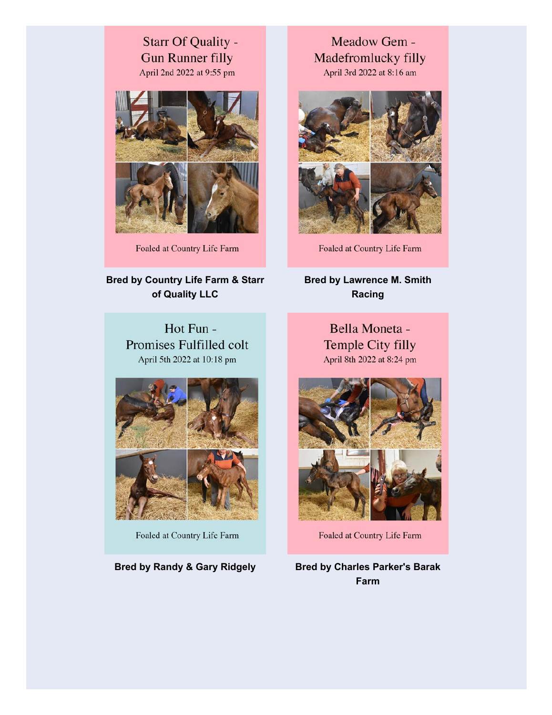## Starr Of Quality -**Gun Runner filly** April 2nd 2022 at 9:55 pm



Foaled at Country Life Farm

## **Bred by Country Life Farm & Starr of Quality LLC**

Hot Fun -Promises Fulfilled colt April 5th 2022 at 10:18 pm



Foaled at Country Life Farm

Meadow Gem -Madefromlucky filly April 3rd 2022 at 8:16 am



Foaled at Country Life Farm

**Bred by Lawrence M. Smith Racing**

> Bella Moneta -Temple City filly April 8th 2022 at 8:24 pm



Foaled at Country Life Farm

**Bred by Randy & Gary Ridgely Bred by Charles Parker's Barak Farm**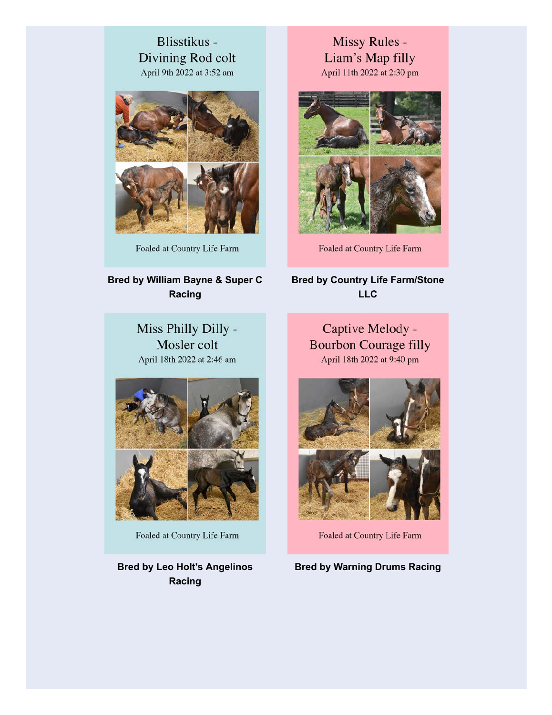## Blisstikus -Divining Rod colt April 9th 2022 at 3:52 am



Foaled at Country Life Farm

## **Bred by William Bayne & Super C Racing**

Miss Philly Dilly -Mosler colt April 18th 2022 at 2:46 am



Foaled at Country Life Farm

**Bred by Leo Holt's Angelinos Racing**

Missy Rules -Liam's Map filly April 11th 2022 at 2:30 pm



Foaled at Country Life Farm

## **Bred by Country Life Farm/Stone LLC**

Captive Melody -**Bourbon Courage filly** April 18th 2022 at 9:40 pm



Foaled at Country Life Farm

**Bred by Warning Drums Racing**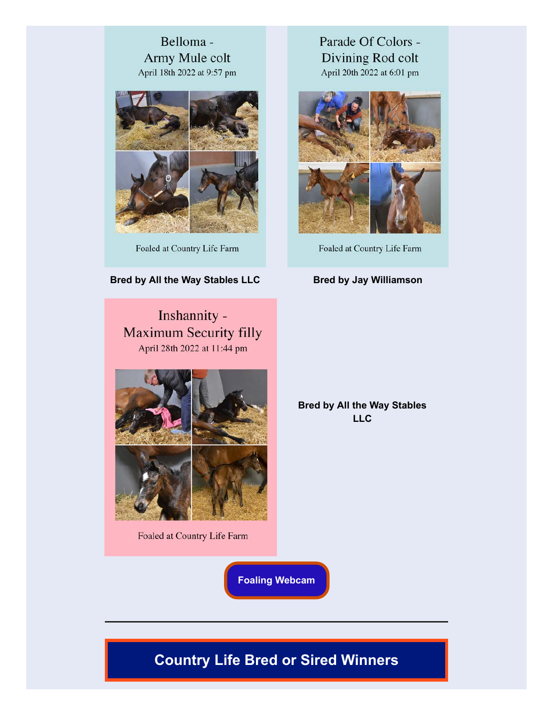## Belloma -Army Mule colt April 18th 2022 at 9:57 pm



Foaled at Country Life Farm

### **Bred by All the Way Stables LLC Bred by Jay Williamson**

Inshannity -**Maximum Security filly** April 28th 2022 at 11:44 pm



Foaled at Country Life Farm

Parade Of Colors -Divining Rod colt April 20th 2022 at 6:01 pm



Foaled at Country Life Farm

**Bred by All the Way Stables LLC**

**[Foaling Webcam](https://www.youtube.com/channel/UCGS097xG6wlseiGxnzPPBOw)**

# **Country Life Bred or Sired Winners**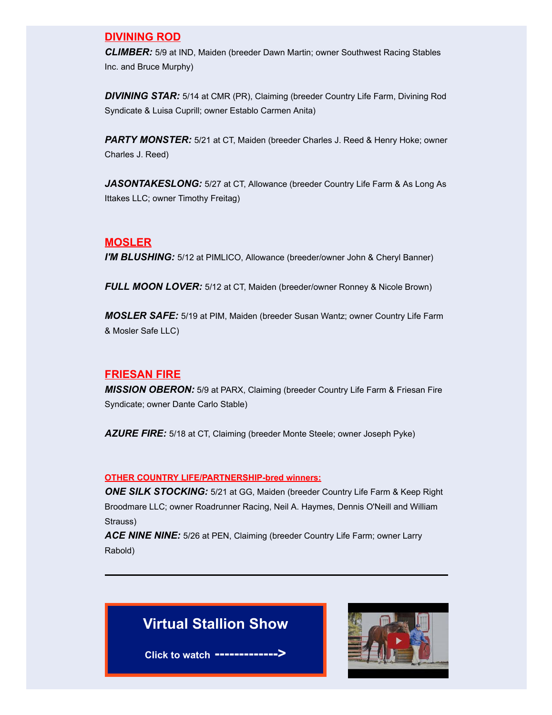#### **DIVINING ROD**

*CLIMBER:* 5/9 at IND, Maiden (breeder Dawn Martin; owner Southwest Racing Stables Inc. and Bruce Murphy)

*DIVINING STAR:* 5/14 at CMR (PR), Claiming (breeder Country Life Farm, Divining Rod Syndicate & Luisa Cuprill; owner Establo Carmen Anita)

*PARTY MONSTER:* 5/21 at CT, Maiden (breeder Charles J. Reed & Henry Hoke; owner Charles J. Reed)

*JASONTAKESLONG:* 5/27 at CT, Allowance (breeder Country Life Farm & As Long As Ittakes LLC; owner Timothy Freitag)

#### **MOSLER**

*I'M BLUSHING:* 5/12 at PIMLICO, Allowance (breeder/owner John & Cheryl Banner)

*FULL MOON LOVER:* 5/12 at CT, Maiden (breeder/owner Ronney & Nicole Brown)

*MOSLER SAFE:* 5/19 at PIM, Maiden (breeder Susan Wantz; owner Country Life Farm & Mosler Safe LLC)

#### **FRIESAN FIRE**

*MISSION OBERON:* 5/9 at PARX, Claiming (breeder Country Life Farm & Friesan Fire Syndicate; owner Dante Carlo Stable)

*AZURE FIRE:* 5/18 at CT, Claiming (breeder Monte Steele; owner Joseph Pyke)

#### **OTHER COUNTRY LIFE/PARTNERSHIP-bred winners:**

*ONE SILK STOCKING:* 5/21 at GG, Maiden (breeder Country Life Farm & Keep Right Broodmare LLC; owner Roadrunner Racing, Neil A. Haymes, Dennis O'Neill and William Strauss)

*ACE NINE NINE:* 5/26 at PEN, Claiming (breeder Country Life Farm; owner Larry Rabold)

# **Virtual Stallion Show**

**Click to watch ------------->**